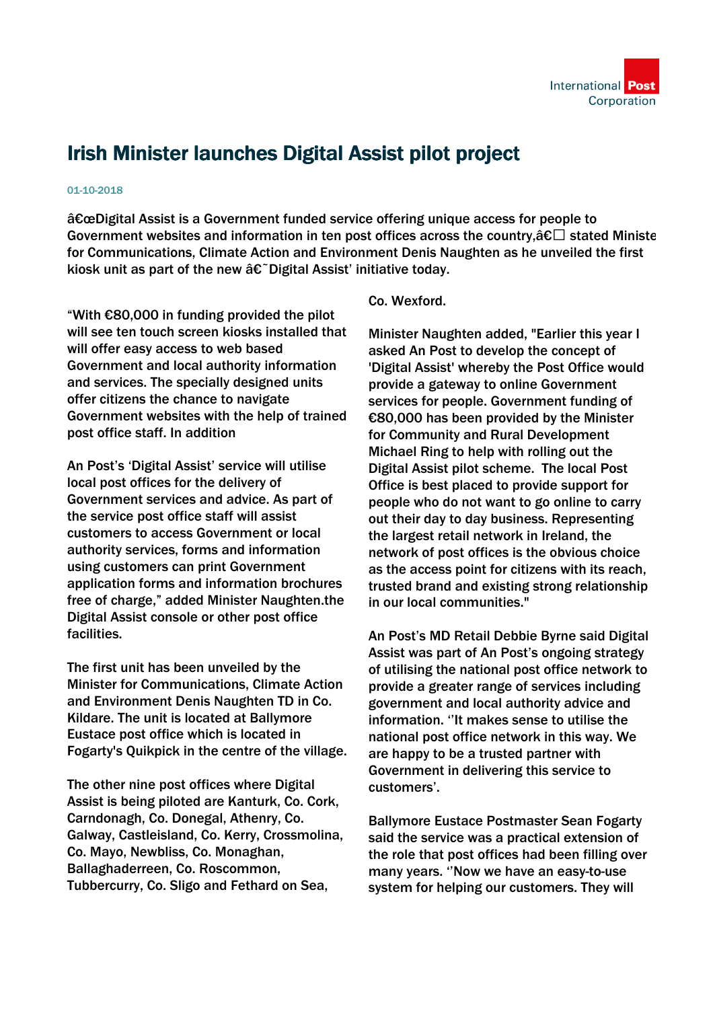

## Irish Minister launches Digital Assist pilot project

## 01-10-2018

 $\hat{a}\epsilon$  a Digital Assist is a Government funded service offering unique access for people to Government websites and information in ten post offices across the country,  $\hat{a}\epsilon\Box$  stated Ministe for Communications, Climate Action and Environment Denis Naughten as he unveiled the first kiosk unit as part of the new  $\hat{a} \in \tilde{D}$ igital Assist' initiative today.

"With €80,000 in funding provided the pilot will see ten touch screen kiosks installed that will offer easy access to web based Government and local authority information and services. The specially designed units offer citizens the chance to navigate Government websites with the help of trained post office staff. In addition

An Post's 'Digital Assist' service will utilise local post offices for the delivery of Government services and advice. As part of the service post office staff will assist customers to access Government or local authority services, forms and information using customers can print Government application forms and information brochures free of charge," added Minister Naughten.the Digital Assist console or other post office facilities.

The first unit has been unveiled by the Minister for Communications, Climate Action and Environment Denis Naughten TD in Co. Kildare. The unit is located at Ballymore Eustace post office which is located in Fogarty's Quikpick in the centre of the village.

The other nine post offices where Digital Assist is being piloted are Kanturk, Co. Cork, Carndonagh, Co. Donegal, Athenry, Co. Galway, Castleisland, Co. Kerry, Crossmolina, Co. Mayo, Newbliss, Co. Monaghan, Ballaghaderreen, Co. Roscommon, Tubbercurry, Co. Sligo and Fethard on Sea,

## Co. Wexford.

Minister Naughten added, "Earlier this year I asked An Post to develop the concept of 'Digital Assist' whereby the Post Office would provide a gateway to online Government services for people. Government funding of €80,000 has been provided by the Minister for Community and Rural Development Michael Ring to help with rolling out the Digital Assist pilot scheme. The local Post Office is best placed to provide support for people who do not want to go online to carry out their day to day business. Representing the largest retail network in Ireland, the network of post offices is the obvious choice as the access point for citizens with its reach, trusted brand and existing strong relationship in our local communities."

An Post's MD Retail Debbie Byrne said Digital Assist was part of An Post's ongoing strategy of utilising the national post office network to provide a greater range of services including government and local authority advice and information. ''It makes sense to utilise the national post office network in this way. We are happy to be a trusted partner with Government in delivering this service to customers'.

Ballymore Eustace Postmaster Sean Fogarty said the service was a practical extension of the role that post offices had been filling over many years. ''Now we have an easy-to-use system for helping our customers. They will